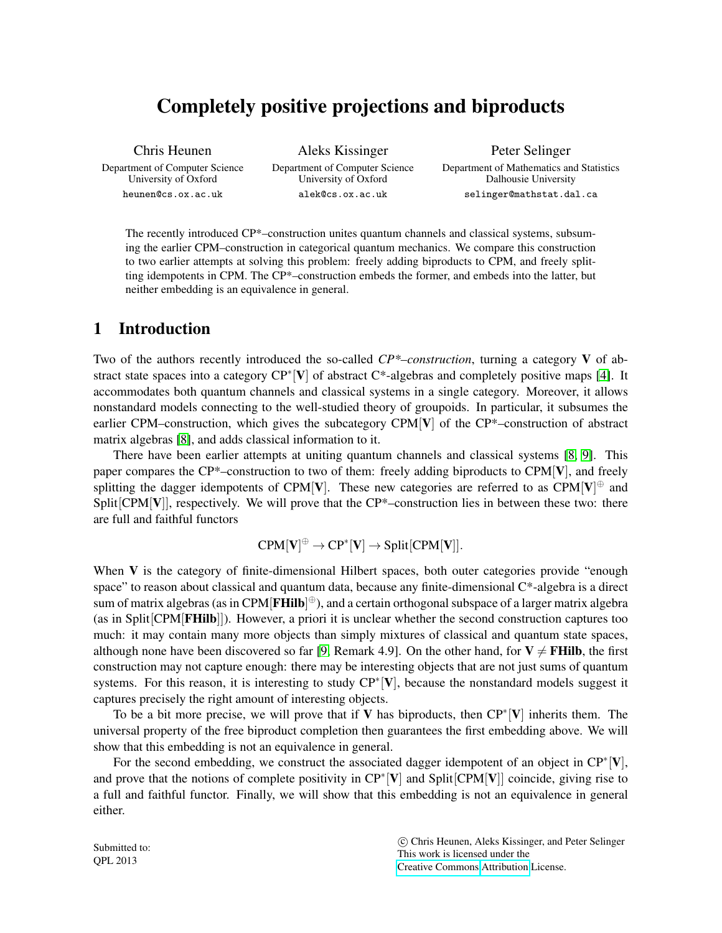# Completely positive projections and biproducts

Chris Heunen Department of Computer Science University of Oxford heunen@cs.ox.ac.uk

Aleks Kissinger Department of Computer Science University of Oxford alek@cs.ox.ac.uk

Peter Selinger Department of Mathematics and Statistics Dalhousie University selinger@mathstat.dal.ca

The recently introduced CP\*–construction unites quantum channels and classical systems, subsuming the earlier CPM–construction in categorical quantum mechanics. We compare this construction to two earlier attempts at solving this problem: freely adding biproducts to CPM, and freely splitting idempotents in CPM. The CP\*–construction embeds the former, and embeds into the latter, but neither embedding is an equivalence in general.

## 1 Introduction

Two of the authors recently introduced the so-called *CP\*–construction*, turning a category V of abstract state spaces into a category  $\text{CP}^*[V]$  of abstract  $\text{C}^*$ -algebras and completely positive maps [\[4\]](#page-11-0). It accommodates both quantum channels and classical systems in a single category. Moreover, it allows nonstandard models connecting to the well-studied theory of groupoids. In particular, it subsumes the earlier CPM–construction, which gives the subcategory CPM $[V]$  of the CP\*–construction of abstract matrix algebras [\[8\]](#page-11-1), and adds classical information to it.

There have been earlier attempts at uniting quantum channels and classical systems [\[8,](#page-11-1) [9\]](#page-11-2). This paper compares the CP\*–construction to two of them: freely adding biproducts to CPM[V], and freely splitting the dagger idempotents of CPM[V]. These new categories are referred to as CPM[V] $\oplus$  and Split $[CPM[V]]$ , respectively. We will prove that the  $CP^*$ –construction lies in between these two: there are full and faithful functors

$$
CPM[V]^{\oplus} \to CP^*[V] \to Split[CPM[V]].
$$

When  $V$  is the category of finite-dimensional Hilbert spaces, both outer categories provide "enough space" to reason about classical and quantum data, because any finite-dimensional C\*-algebra is a direct sum of matrix algebras (as in CPM[**FHilb**] $^{\oplus}$ ), and a certain orthogonal subspace of a larger matrix algebra (as in Split[CPM[FHilb]]). However, a priori it is unclear whether the second construction captures too much: it may contain many more objects than simply mixtures of classical and quantum state spaces, although none have been discovered so far [\[9,](#page-11-2) Remark 4.9]. On the other hand, for  $V \neq FHilb$ , the first construction may not capture enough: there may be interesting objects that are not just sums of quantum systems. For this reason, it is interesting to study  $\text{CP}^*[V]$ , because the nonstandard models suggest it captures precisely the right amount of interesting objects.

To be a bit more precise, we will prove that if V has biproducts, then  $\mathbb{CP}^*[\mathbf{V}]$  inherits them. The universal property of the free biproduct completion then guarantees the first embedding above. We will show that this embedding is not an equivalence in general.

For the second embedding, we construct the associated dagger idempotent of an object in  $\text{CP}^*[\textbf{V}]$ , and prove that the notions of complete positivity in  $\text{CP}^*[\textbf{V}]$  and Split $[\text{CPM}[\textbf{V}]]$  coincide, giving rise to a full and faithful functor. Finally, we will show that this embedding is not an equivalence in general either.

> c Chris Heunen, Aleks Kissinger, and Peter Selinger This work is licensed under the [Creative Commons](http://creativecommons.org) [Attribution](http://creativecommons.org/licenses/by/3.0/) License.

Submitted to: QPL 2013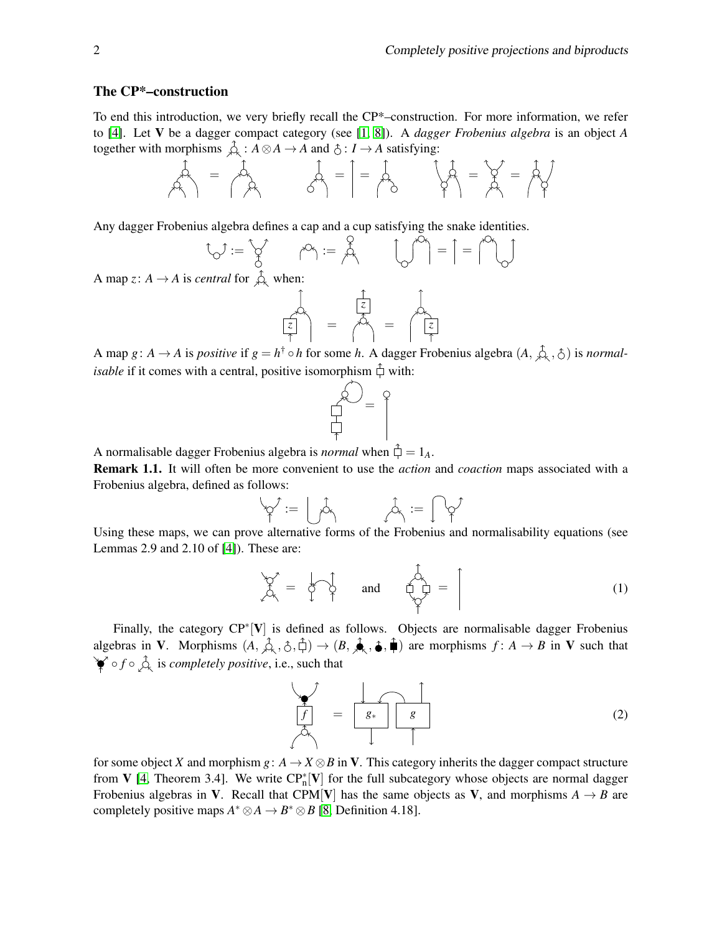#### The CP\*–construction

To end this introduction, we very briefly recall the CP\*–construction. For more information, we refer to [\[4\]](#page-11-0). Let V be a dagger compact category (see [\[1,](#page-11-3) [8\]](#page-11-1)). A *dagger Frobenius algebra* is an object *A* together with morphisms  $\hat{\mathcal{A}}$ :  $A \otimes A \rightarrow A$  and  $\hat{\circ}$ :  $I \rightarrow A$  satisfying:

$$
\mathcal{A} = \mathcal{A} = \begin{bmatrix} 1 & 1 & 1 \\ 1 & 1 & 1 \\ 1 & 1 & 1 \end{bmatrix} = \begin{bmatrix} 1 & 1 & 1 \\ 1 & 1 & 1 \\ 1 & 1 & 1 \end{bmatrix} = \begin{bmatrix} 1 & 1 & 1 \\ 1 & 1 & 1 \\ 1 & 1 & 1 \end{bmatrix} = \begin{bmatrix} 1 & 1 & 1 \\ 1 & 1 & 1 \\ 1 & 1 & 1 \end{bmatrix} = \begin{bmatrix} 1 & 1 & 1 \\ 1 & 1 & 1 \\ 1 & 1 & 1 \end{bmatrix} = \begin{bmatrix} 1 & 1 & 1 \\ 1 & 1 & 1 \\ 1 & 1 & 1 \end{bmatrix} = \begin{bmatrix} 1 & 1 & 1 \\ 1 & 1 & 1 \\ 1 & 1 & 1 \end{bmatrix} = \begin{bmatrix} 1 & 1 & 1 \\ 1 & 1 & 1 \\ 1 & 1 & 1 \end{bmatrix} = \begin{bmatrix} 1 & 1 & 1 \\ 1 & 1 & 1 \\ 1 & 1 & 1 \end{bmatrix} = \begin{bmatrix} 1 & 1 & 1 \\ 1 & 1 & 1 \\ 1 & 1 & 1 \end{bmatrix} = \begin{bmatrix} 1 & 1 & 1 \\ 1 & 1 & 1 \\ 1 & 1 & 1 \end{bmatrix} = \begin{bmatrix} 1 & 1 & 1 \\ 1 & 1 & 1 \\ 1 & 1 & 1 \end{bmatrix} = \begin{bmatrix} 1 & 1 & 1 \\ 1 & 1 & 1 \\ 1 & 1 & 1 \end{bmatrix} = \begin{bmatrix} 1 & 1 & 1 \\ 1 & 1 & 1 \\ 1 & 1 & 1 \end{bmatrix} = \begin{bmatrix} 1 & 1 & 1 \\ 1 & 1 & 1 \\ 1 & 1 & 1 \end{bmatrix} = \begin{bmatrix} 1 & 1 & 1 \\ 1 & 1 & 1 \\ 1 & 1 & 1 \end{bmatrix} = \begin{bmatrix} 1 & 1 & 1 \\ 1 & 1 & 1 \\ 1 & 1 & 1 \end{bmatrix} = \begin{bmatrix} 1 & 1 & 1 \\ 1 & 1 & 1 \\ 1 & 1 & 1 \end{bmatrix} = \begin{bmatrix} 1 & 1 & 1 \\ 1 & 1 & 1 \\ 1 & 1 & 1 \end{bmatrix} = \begin{bmatrix
$$

Any dagger Frobenius algebra defines a cap and a cup satisfying the snake identities.

$$
T^{\alpha} \mathcal{A} := \bigwedge_{\alpha \in \mathcal{A}} \qquad \qquad \text{and} \qquad \qquad \text{and} \qquad \text{and} \qquad \text{and} \qquad \text{and} \qquad \text{and} \qquad \text{and} \qquad \text{and} \qquad \text{and} \qquad \text{and} \qquad \text{and} \qquad \text{and} \qquad \text{and} \qquad \text{and} \qquad \text{and} \qquad \text{and} \qquad \text{and} \qquad \text{and} \qquad \text{and} \qquad \text{and} \qquad \text{and} \qquad \text{and} \qquad \text{and} \qquad \text{and} \qquad \text{and} \qquad \text{and} \qquad \text{and} \qquad \text{and} \qquad \text{and} \qquad \text{and} \qquad \text{and} \qquad \text{and} \qquad \text{and} \qquad \text{and} \qquad \text{and} \qquad \text{and} \qquad \text{and} \qquad \text{and} \qquad \text{and} \qquad \text{and} \qquad \text{and} \qquad \text{and} \qquad \text{and} \qquad \text{and} \qquad \text{and} \qquad \text{and} \qquad \text{and} \qquad \text{and} \qquad \text{and} \qquad \text{and} \qquad \text{and} \qquad \text{and} \qquad \text{and} \qquad \text{and} \qquad \text{and} \qquad \text{and} \qquad \text{and} \qquad \text{and} \qquad \text{and} \qquad \text{and} \qquad \text{and} \qquad \text{and} \qquad \text{and} \qquad \text{and} \qquad \text{and} \qquad \text{and} \qquad \text{and} \qquad \text{and} \qquad \text{and} \qquad \text{and} \qquad \text{and} \qquad \text{and} \qquad \text{and} \qquad \text{and} \qquad \text{and} \qquad \text{and} \qquad \text{and} \qquad \text{and} \qquad \text{and} \qquad \text{and} \qquad \text{and} \qquad \text{and} \qquad \text{and} \qquad \text{and} \qquad \text{and} \qquad \text{and} \qquad \text{and} \qquad \text{and} \qquad \text{and} \qquad \text{and} \qquad \text{
$$

A map *z*:  $A \rightarrow A$  is *central* for  $\bigcirc$  when:

$$
\begin{bmatrix} 1 \\ \overline{z} \\ 1 \end{bmatrix} = \begin{bmatrix} \frac{1}{z} \\ \overline{z} \\ \overline{z} \end{bmatrix} = \begin{bmatrix} 1 \\ \overline{z} \\ \overline{z} \\ \overline{z} \end{bmatrix}
$$

A map  $g: A \to A$  is *positive* if  $g = h^{\dagger} \circ h$  for some *h*. A dagger Frobenius algebra  $(A, \hat{\phi}, \hat{\phi})$  is *normalisable* if it comes with a central, positive isomorphism  $\hat{\phi}$  with:



A normalisable dagger Frobenius algebra is *normal* when  $\psi = 1_A$ .

Remark 1.1. It will often be more convenient to use the *action* and *coaction* maps associated with a Frobenius algebra, defined as follows:

$$
\forall \phi':=\bigcup_{i\in \mathbb{N}}\delta_{\phi_i} \qquad \qquad \beta_{\phi_i}:=\bigcap_{i\in \mathbb{N}}\phi_i'
$$

Using these maps, we can prove alternative forms of the Frobenius and normalisability equations (see Lemmas 2.9 and 2.10 of [\[4\]](#page-11-0)). These are:

<span id="page-1-0"></span>= and = (1)

Finally, the category CP<sup>\*</sup>[V] is defined as follows. Objects are normalisable dagger Frobenius algebras in V. Morphisms  $(A, \hat{\phi}, \hat{\phi}, \hat{\phi}) \rightarrow (B, \hat{\phi}, \hat{\phi}, \hat{\phi})$  are morphisms  $f: A \rightarrow B$  in V such that ◦ *f* ◦ is *completely positive*, i.e., such that

<span id="page-1-1"></span>
$$
\begin{array}{|c|c|c|}\n\hline\nf & = & s_* & s \\
\hline\n\end{array}
$$
 (2)

for some object *X* and morphism  $g: A \to X \otimes B$  in **V**. This category inherits the dagger compact structure from V [\[4,](#page-11-0) Theorem 3.4]. We write  $CP_n^*[V]$  for the full subcategory whose objects are normal dagger Frobenius algebras in V. Recall that CPM[V] has the same objects as V, and morphisms  $A \rightarrow B$  are completely positive maps  $A^* \otimes A \to B^* \otimes B$  [\[8,](#page-11-1) Definition 4.18].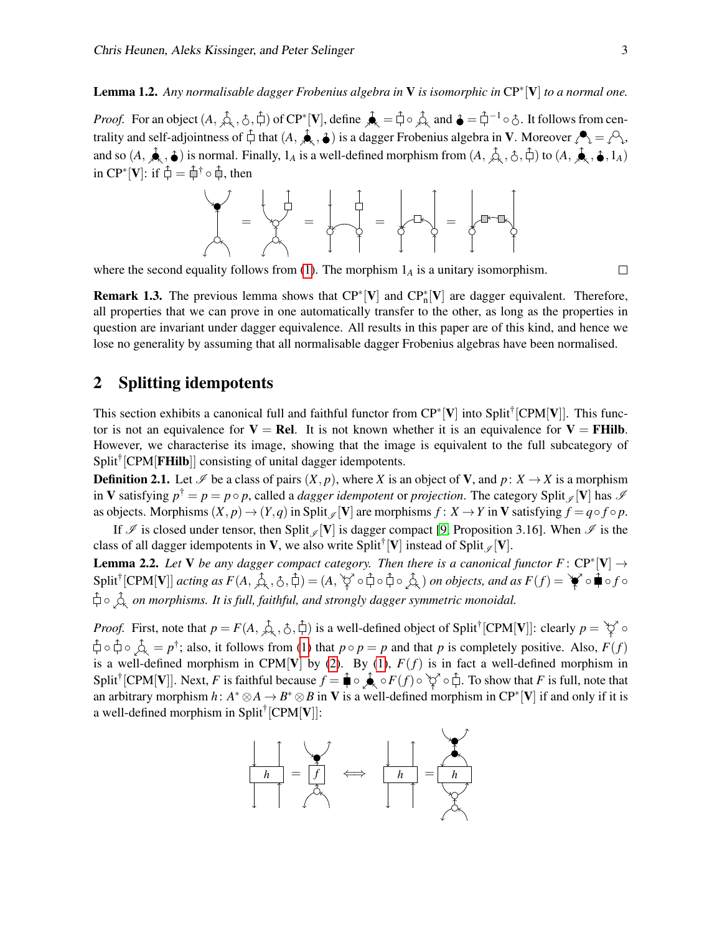Lemma 1.2. *Any normalisable dagger Frobenius algebra in* V *is isomorphic in* CP<sup>∗</sup> [V] *to a normal one.*

*Proof.* For an object  $(A, \hat{A}, \hat{A}, \hat{B})$  of CP<sup>\*</sup>[V], define  $\hat{A} = \hat{A} \circ \hat{A}$  and  $\hat{A} = \hat{A}^{-1} \circ \hat{B}$ . It follows from centrality and self-adjointness of  $\hat{\phi}$  that  $(A, \hat{\phi}, \hat{\phi})$  is a dagger Frobenius algebra in **V**. Moreover  $\oint_{\phi} = \oint_{\phi}$ , and so  $(A, \hat{A}, \hat{A}, \hat{\bullet})$  is normal. Finally,  $1_A$  is a well-defined morphism from  $(A, \hat{A}, \hat{A}, \hat{\bullet}, \hat{\uparrow})$  to  $(A, \hat{A}, \hat{A}, \hat{\bullet}, 1_A)$ in CP\*[**V**]: if  $\hat{\phi} = \hat{\phi}^{\dagger} \circ \hat{\phi}$ , then

$$
\begin{pmatrix}\n\mathbf{r} & \mathbf{r} & \mathbf{r} \\
\mathbf{r} & \mathbf{r} & \mathbf{r} \\
\mathbf{r} & \mathbf{r} & \mathbf{r}\n\end{pmatrix} = \begin{pmatrix}\n\mathbf{r} & \mathbf{r} \\
\mathbf{r} & \mathbf{r} \\
\mathbf{r} & \mathbf{r}\n\end{pmatrix} = \begin{pmatrix}\n\mathbf{r} & \mathbf{r} \\
\mathbf{r} & \mathbf{r} \\
\mathbf{r} & \mathbf{r}\n\end{pmatrix} = \begin{pmatrix}\n\mathbf{r} & \mathbf{r} \\
\mathbf{r} & \mathbf{r}\n\end{pmatrix}
$$

where the second equality follows from  $(1)$ . The morphism  $1_A$  is a unitary isomorphism.

 $\Box$ 

<span id="page-2-1"></span>**Remark 1.3.** The previous lemma shows that  $\text{CP}^*[\textbf{V}]$  and  $\text{CP}^*_{n}[\textbf{V}]$  are dagger equivalent. Therefore, all properties that we can prove in one automatically transfer to the other, as long as the properties in question are invariant under dagger equivalence. All results in this paper are of this kind, and hence we lose no generality by assuming that all normalisable dagger Frobenius algebras have been normalised.

## 2 Splitting idempotents

This section exhibits a canonical full and faithful functor from  $\text{CP}^*[\text{V}]$  into Split<sup>†</sup> [CPM[V]]. This functor is not an equivalence for  $V = Rel$ . It is not known whether it is an equivalence for  $V = FHilb$ . However, we characterise its image, showing that the image is equivalent to the full subcategory of Split<sup>†</sup> [CPM[FHilb]] consisting of unital dagger idempotents.

**Definition 2.1.** Let  $\mathscr I$  be a class of pairs  $(X, p)$ , where *X* is an object of **V**, and  $p: X \to X$  is a morphism in V satisfying  $p^{\dagger} = p = p \circ p$ , called a *dagger idempotent* or *projection*. The category Split<sub>I</sub>(V) has I as objects. Morphisms  $(X, p) \to (Y, q)$  in Split  $\mathcal{I}[\mathbf{V}]$  are morphisms  $f : X \to Y$  in **V** satisfying  $f = q \circ f \circ p$ .

If  $\mathcal I$  is closed under tensor, then Split  $\mathcal I$  |V| is dagger compact [\[9,](#page-11-2) Proposition 3.16]. When  $\mathcal I$  is the class of all dagger idempotents in V, we also write Split<sup>†</sup>[V] instead of Split<sub>II</sub> [V].

<span id="page-2-0"></span>**Lemma 2.2.** Let **V** be any dagger compact category. Then there is a canonical functor  $F : CP^*[\mathbf{V}] \rightarrow$  $\text{Split}^\dagger[\text{CPM}[\textbf{V}]]$  acting as  $F(A,\,\hat{\beta}_\star\,,\hat{\Diamond},\hat{\Box}) = (A,\,\forall^\nearrow_\star\circ\hat{\Box}\circ\hat{\Box}\circ\hat{\Diamond})$  on objects, and as  $F(f) = \,\bigvee^{\,\sim}_\star\circ\,\hat{\Box}\circ f\circ\Box$ ◦ *on morphisms. It is full, faithful, and strongly dagger symmetric monoidal.*

*Proof.* First, note that  $p = F(A, \hat{\phi}, \hat{\phi}, \hat{\phi})$  is a well-defined object of Split<sup>†</sup> [CPM[V]]: clearly  $p = \hat{\phi}$  o  $\circ \bigoplus \circ \bigoplus$  =  $p^{\dagger}$ ; also, it follows from [\(1\)](#page-1-0) that  $p \circ p = p$  and that p is completely positive. Also,  $F(f)$ is a well-defined morphism in CPM[V] by [\(2\)](#page-1-1). By [\(1\)](#page-1-0),  $F(f)$  is in fact a well-defined morphism in Split<sup>†</sup> [CPM[V]]. Next, *F* is faithful because  $f = \hat{\phi} \circ \hat{\phi}$ ,  $\circ F(f) \circ \check{\heartsuit} \circ \hat{\phi}$ . To show that *F* is full, note that an arbitrary morphism  $h: A^* \otimes A \to B^* \otimes B$  in V is a well-defined morphism in  $\text{CP}^*[V]$  if and only if it is a well-defined morphism in  $\text{Split}^{\dagger}[\text{CPM}[\textbf{V}]]$ :

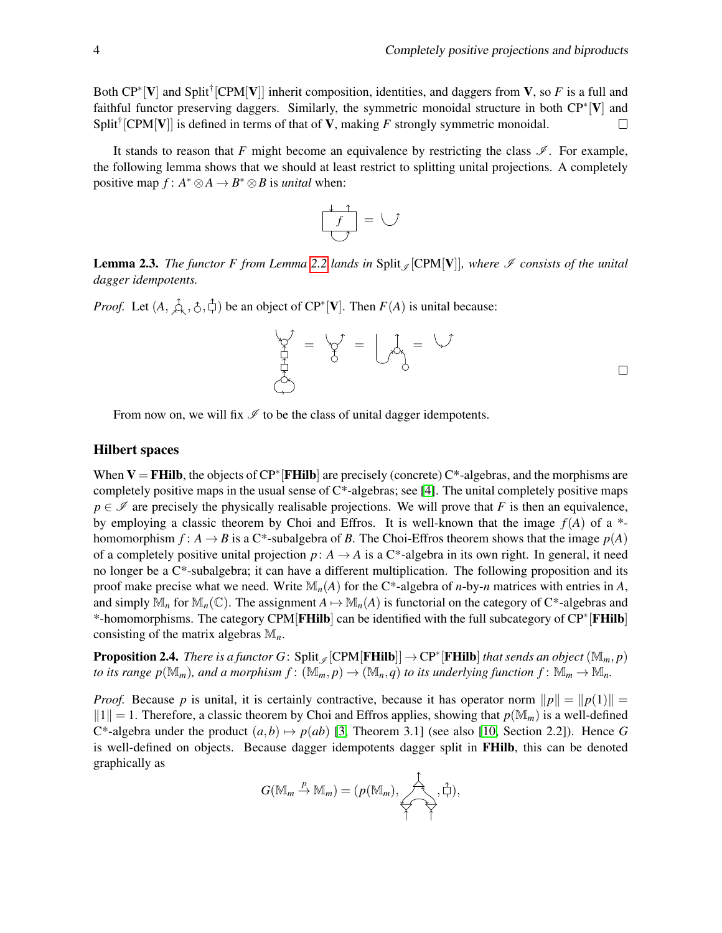Both CP<sup>∗</sup> [V] and Split† [CPM[V]] inherit composition, identities, and daggers from V, so *F* is a full and faithful functor preserving daggers. Similarly, the symmetric monoidal structure in both  $\text{CP}^*[\textbf{V}]$  and Split<sup>†</sup> [CPM[V]] is defined in terms of that of V, making F strongly symmetric monoidal.  $\Box$ 

It stands to reason that *F* might become an equivalence by restricting the class  $\mathscr{I}$ . For example, the following lemma shows that we should at least restrict to splitting unital projections. A completely positive map  $f: A^* \otimes A \to B^* \otimes B$  is *unital* when:

$$
\frac{\downarrow \uparrow}{f} = \bigcup
$$

**Lemma 2.3.** *The functor F from Lemma* [2.2](#page-2-0) *lands in* Split  $\mathcal{I}$  [CPM[V]]*, where*  $\mathcal{I}$  *consists of the unital dagger idempotents.*

*Proof.* Let  $(A, \hat{A}, \hat{A}, \hat{B})$  be an object of CP<sup>\*</sup>[V]. Then  $F(A)$  is unital because:

$$
\begin{array}{c}\n\mathbf{y}' = \mathbf{y}' = \mathbf{y} \\
\mathbf{y}' = \mathbf{y}' \\
\mathbf{y}' = \mathbf{y}'\n\end{array}
$$

From now on, we will fix  $\mathcal I$  to be the class of unital dagger idempotents.

#### Hilbert spaces

When  $V = FHilb$ , the objects of  $\mathbb{CP}^*$  [FHilb] are precisely (concrete)  $\mathbb{C}^*$ -algebras, and the morphisms are completely positive maps in the usual sense of  $C^*$ -algebras; see [\[4\]](#page-11-0). The unital completely positive maps  $p \in \mathcal{I}$  are precisely the physically realisable projections. We will prove that *F* is then an equivalence, by employing a classic theorem by Choi and Effros. It is well-known that the image  $f(A)$  of a  $*$ homomorphism  $f: A \to B$  is a C\*-subalgebra of *B*. The Choi-Effros theorem shows that the image  $p(A)$ of a completely positive unital projection  $p: A \to A$  is a C<sup>\*</sup>-algebra in its own right. In general, it need no longer be a C\*-subalgebra; it can have a different multiplication. The following proposition and its proof make precise what we need. Write  $\mathbb{M}_n(A)$  for the C<sup>\*</sup>-algebra of *n*-by-*n* matrices with entries in *A*, and simply  $\mathbb{M}_n$  for  $\mathbb{M}_n(\mathbb{C})$ . The assignment  $A \mapsto \mathbb{M}_n(A)$  is functorial on the category of C<sup>\*</sup>-algebras and \*-homomorphisms. The category CPM [FHilb] can be identified with the full subcategory of CP<sup>\*</sup> [FHilb] consisting of the matrix algebras M*n*.

<span id="page-3-0"></span>**Proposition 2.4.** There is a functor G:  $\text{Split}_{\mathscr{I}}[\text{CPM}[\text{FHilb}]] \rightarrow \text{CP}^*[\text{FHilb}]$  that sends an object  $(\mathbb{M}_m, p)$ *to its range p*( $\mathbb{M}_m$ )*, and a morphism*  $f$ :  $(\mathbb{M}_m, p) \to (\mathbb{M}_n, q)$  *to its underlying function*  $f$ :  $\mathbb{M}_m \to \mathbb{M}_n$ *.* 

*Proof.* Because *p* is unital, it is certainly contractive, because it has operator norm  $||p|| = ||p(1)||$  $||1|| = 1$ . Therefore, a classic theorem by Choi and Effros applies, showing that  $p(M_m)$  is a well-defined C\*-algebra under the product  $(a,b) \mapsto p(ab)$  [\[3,](#page-11-4) Theorem 3.1] (see also [\[10,](#page-11-5) Section 2.2]). Hence *G* is well-defined on objects. Because dagger idempotents dagger split in **FHilb**, this can be denoted graphically as

$$
G(\mathbb{M}_m \xrightarrow{P} \mathbb{M}_m) = (p(\mathbb{M}_m), \xrightarrow{\wedge} \overset{\wedge}{\longleftrightarrow}, \overset{\wedge}{\longleftrightarrow}),
$$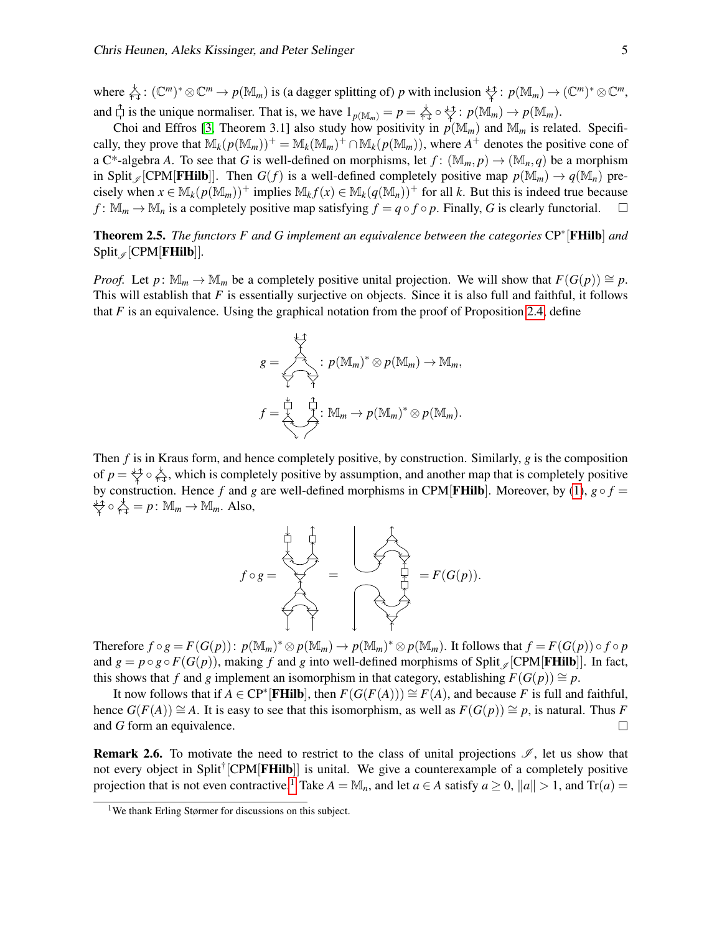where  $\overset{\lambda}{\Leftrightarrow}$ :  $(\mathbb{C}^m)^* \otimes \mathbb{C}^m \to p(\mathbb{M}_m)$  is (a dagger splitting of) *p* with inclusion  $\overset{\star}{\Leftrightarrow}$ :  $p(\mathbb{M}_m) \to (\mathbb{C}^m)^* \otimes \mathbb{C}^m$ , and  $\hat{\Box}$  is the unique normaliser. That is, we have  $1_{p(\mathbb{M}_m)} = p = \frac{\lambda}{\hat{\Box}} \circ \frac{\lambda}{\hat{\lambda}} : p(\mathbb{M}_m) \to p(\mathbb{M}_m)$ .

Choi and Effros [\[3,](#page-11-4) Theorem 3.1] also study how positivity in  $p(\mathbb{M}_m)$  and  $\mathbb{M}_m$  is related. Specifically, they prove that  $\mathbb{M}_k(p(\mathbb{M}_m))^+ = \mathbb{M}_k(\mathbb{M}_m)^+ \cap \mathbb{M}_k(p(\mathbb{M}_m))$ , where  $A^+$  denotes the positive cone of a C<sup>\*</sup>-algebra *A*. To see that *G* is well-defined on morphisms, let  $f: (\mathbb{M}_m, p) \to (\mathbb{M}_n, q)$  be a morphism in Split  $\sqrt{\rho}$  [CPM[**FHilb**]]. Then *G*(*f*) is a well-defined completely positive map  $p(\mathbb{M}_m) \to q(\mathbb{M}_n)$  precisely when  $x \in M_k(p(\mathbb{M}_m))^+$  implies  $M_k f(x) \in M_k(q(\mathbb{M}_n))^+$  for all k. But this is indeed true because  $f: \mathbb{M}_m \to \mathbb{M}_n$  is a completely positive map satisfying  $f = q \circ f \circ p$ . Finally, *G* is clearly functorial.  $\Box$ 

Theorem 2.5. *The functors F and G implement an equivalence between the categories* CP<sup>∗</sup> [FHilb] *and*  $\text{Split}_{\mathscr{I}}[\text{CPM}[\text{FHilb}]]$ .

*Proof.* Let  $p: \mathbb{M}_m \to \mathbb{M}_m$  be a completely positive unital projection. We will show that  $F(G(p)) \cong p$ . This will establish that *F* is essentially surjective on objects. Since it is also full and faithful, it follows that  $F$  is an equivalence. Using the graphical notation from the proof of Proposition [2.4,](#page-3-0) define

$$
g = \overbrace{\bigoplus_{\substack{\lambda \\ \lambda \\ \lambda}}^{+1}}^{+1} : p(\mathbb{M}_m)^* \otimes p(\mathbb{M}_m) \to \mathbb{M}_m,
$$
  

$$
f = \overbrace{\bigoplus_{\substack{\lambda \\ \lambda \\ \lambda}}^{+1}}^{+1} : \mathbb{M}_m \to p(\mathbb{M}_m)^* \otimes p(\mathbb{M}_m).
$$

Then *f* is in Kraus form, and hence completely positive, by construction. Similarly, *g* is the composition of  $p = \frac{1}{2} \circ \frac{1}{2}$ , which is completely positive by assumption, and another map that is completely positive by construction. Hence *f* and *g* are well-defined morphisms in CPM[FHilb]. Moreover, by [\(1\)](#page-1-0),  $g \circ f =$  $\overleftrightarrow{\mathcal{L}} \circ \overrightarrow{\mathcal{L}} = p : \mathbb{M}_m \to \mathbb{M}_m$ . Also,



Therefore  $f \circ g = F(G(p))$ :  $p(\mathbb{M}_m)^* \otimes p(\mathbb{M}_m) \to p(\mathbb{M}_m)^* \otimes p(\mathbb{M}_m)$ . It follows that  $f = F(G(p)) \circ f \circ p$ and  $g = p \circ g \circ F(G(p))$ , making f and g into well-defined morphisms of Split [CPM[**FHilb**]]. In fact, this shows that *f* and *g* implement an isomorphism in that category, establishing  $F(G(p)) \cong p$ .

It now follows that if  $A \in \mathbb{CP}^*$  [**FHilb**], then  $F(G(F(A))) \cong F(A)$ , and because *F* is full and faithful, hence  $G(F(A)) \cong A$ . It is easy to see that this isomorphism, as well as  $F(G(p)) \cong p$ , is natural. Thus *F* and *G* form an equivalence.  $\Box$ 

**Remark 2.6.** To motivate the need to restrict to the class of unital projections  $\mathscr{I}$ , let us show that not every object in Split<sup>†</sup>[CPM[**FHilb**]] is unital. We give a counterexample of a completely positive projection that is not even contractive.<sup>[1](#page-4-0)</sup> Take  $A = M_n$ , and let  $a \in A$  satisfy  $a \ge 0$ ,  $||a|| > 1$ , and  $Tr(a) =$ 

<span id="page-4-0"></span><sup>&</sup>lt;sup>1</sup>We thank Erling Størmer for discussions on this subject.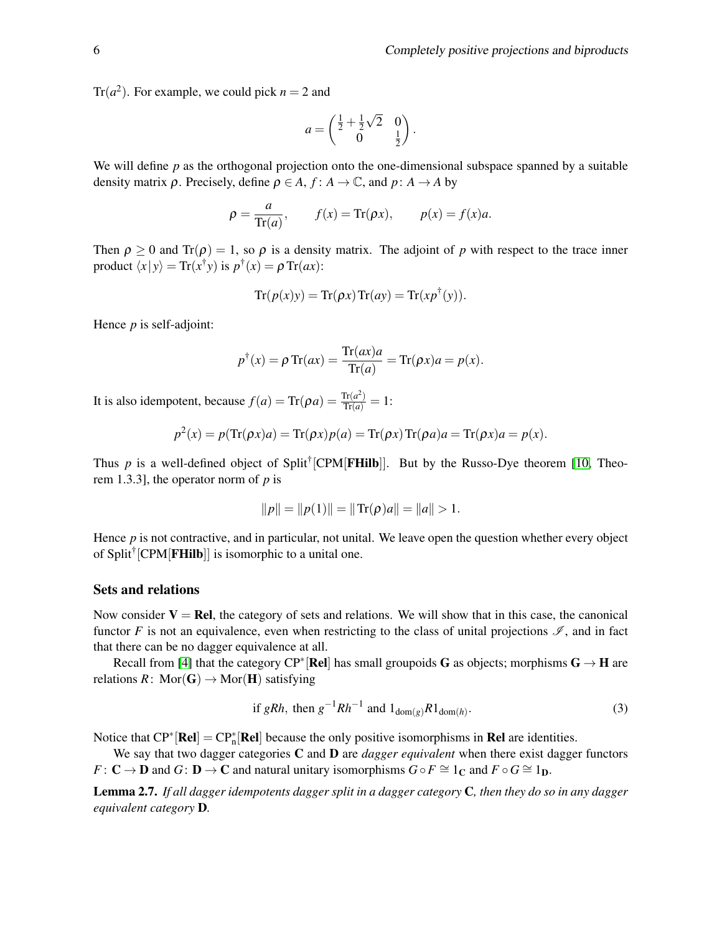Tr( $a^2$ ). For example, we could pick  $n = 2$  and

$$
a = \begin{pmatrix} \frac{1}{2} + \frac{1}{2}\sqrt{2} & 0\\ 0 & \frac{1}{2} \end{pmatrix}.
$$

We will define *p* as the orthogonal projection onto the one-dimensional subspace spanned by a suitable density matrix  $\rho$ . Precisely, define  $\rho \in A$ ,  $f: A \to \mathbb{C}$ , and  $p: A \to A$  by

$$
\rho = \frac{a}{\text{Tr}(a)}, \qquad f(x) = \text{Tr}(\rho x), \qquad p(x) = f(x)a.
$$

Then  $\rho \ge 0$  and Tr( $\rho$ ) = 1, so  $\rho$  is a density matrix. The adjoint of p with respect to the trace inner product  $\langle x | y \rangle = \text{Tr}(x^{\dagger}y)$  is  $p^{\dagger}(x) = \rho \text{Tr}(ax)$ :

$$
Tr(p(x)y) = Tr(\rho x) Tr(ay) = Tr(xp^{\dagger}(y)).
$$

Hence *p* is self-adjoint:

$$
p^{\dagger}(x) = \rho \operatorname{Tr}(ax) = \frac{\operatorname{Tr}(ax)a}{\operatorname{Tr}(a)} = \operatorname{Tr}(\rho x)a = p(x).
$$

It is also idempotent, because  $f(a) = \text{Tr}(\rho a) = \frac{\text{Tr}(a^2)}{\text{Tr}(a)} = 1$ :

$$
p^{2}(x) = p(\text{Tr}(\rho x)a) = \text{Tr}(\rho x)p(a) = \text{Tr}(\rho x)\,\text{Tr}(\rho a)a = \text{Tr}(\rho x)a = p(x).
$$

Thus  $p$  is a well-defined object of Split<sup>†</sup> [CPM[**FHilb**]]. But by the Russo-Dye theorem [\[10,](#page-11-5) Theorem 1.3.3], the operator norm of *p* is

$$
||p|| = ||p(1)|| = ||\text{Tr}(\rho)a|| = ||a|| > 1.
$$

Hence *p* is not contractive, and in particular, not unital. We leave open the question whether every object of Split<sup>†</sup> [CPM[FHilb]] is isomorphic to a unital one.

#### Sets and relations

Now consider  $V = Rel$ , the category of sets and relations. We will show that in this case, the canonical functor *F* is not an equivalence, even when restricting to the class of unital projections  $\mathcal{I}$ , and in fact that there can be no dagger equivalence at all.

Recall from [\[4\]](#page-11-0) that the category  $\text{CP}^*[\text{Rel}]$  has small groupoids G as objects; morphisms  $\text{G} \to \text{H}$  are relations  $R: \text{Mor}(\mathbf{G}) \to \text{Mor}(\mathbf{H})$  satisfying

<span id="page-5-0"></span>if gRh, then 
$$
g^{-1}Rh^{-1}
$$
 and  $1_{\text{dom}(g)}R1_{\text{dom}(h)}$ . (3)

Notice that  $\mathbb{CP}^*[\mathbf{Rel}] = \mathbb{CP}^*_{\mathbf{n}}[\mathbf{Rel}]$  because the only positive isomorphisms in Rel are identities.

We say that two dagger categories C and D are *dagger equivalent* when there exist dagger functors *F* : **C** → **D** and *G* : **D** → **C** and natural unitary isomorphisms  $G \circ F \cong 1_C$  and  $F \circ G \cong 1_D$ .

Lemma 2.7. *If all dagger idempotents dagger split in a dagger category* C*, then they do so in any dagger equivalent category* D*.*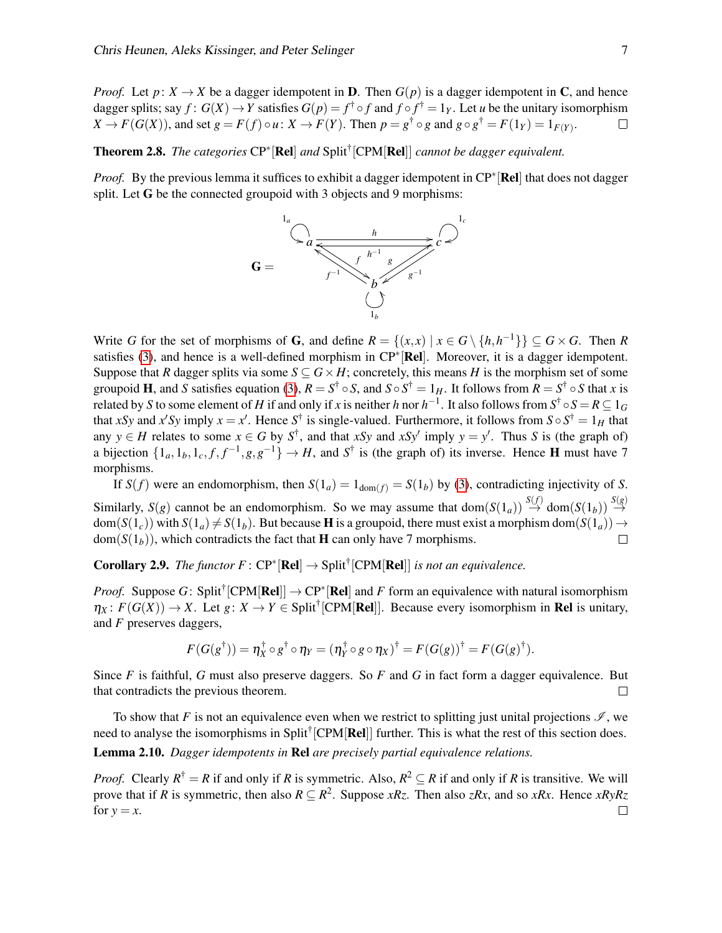*Proof.* Let  $p: X \to X$  be a dagger idempotent in **D**. Then  $G(p)$  is a dagger idempotent in **C**, and hence dagger splits; say  $f: G(X) \to Y$  satisfies  $G(p) = f^{\dagger} \circ f$  and  $f \circ f^{\dagger} = 1_Y$ . Let *u* be the unitary isomorphism  $X \to F(G(X))$ , and set  $g = F(f) \circ u : X \to F(Y)$ . Then  $p = g^{\dagger} \circ g$  and  $g \circ g^{\dagger} = F(1_Y) = 1_{F(Y)}$ .  $\Box$ 

<span id="page-6-0"></span>Theorem 2.8. *The categories* CP<sup>∗</sup> [Rel] *and* Split† [CPM[Rel]] *cannot be dagger equivalent.*

*Proof.* By the previous lemma it suffices to exhibit a dagger idempotent in CP<sup>∗</sup>[Rel] that does not dagger split. Let G be the connected groupoid with 3 objects and 9 morphisms:



Write *G* for the set of morphisms of **G**, and define  $R = \{(x, x) | x \in G \setminus \{h, h^{-1}\}\} \subseteq G \times G$ . Then *R* satisfies [\(3\)](#page-5-0), and hence is a well-defined morphism in CP<sup>∗</sup>[Rel]. Moreover, it is a dagger idempotent. Suppose that *R* dagger splits via some  $S \subseteq G \times H$ ; concretely, this means *H* is the morphism set of some groupoid **H**, and *S* satisfies equation [\(3\)](#page-5-0),  $R = S^{\dagger} \circ S$ , and  $S \circ S^{\dagger} = 1_H$ . It follows from  $R = S^{\dagger} \circ S$  that *x* is related by *S* to some element of *H* if and only if *x* is neither *h* nor  $h^{-1}$ . It also follows from  $S^\dagger \circ S = R \subseteq 1_G$ that *xSy* and *x'Sy* imply  $x = x'$ . Hence *S*<sup> $\dagger$ </sup> is single-valued. Furthermore, it follows from  $S \circ S^{\dagger} = 1_H$  that any  $y \in H$  relates to some  $x \in G$  by  $S^{\dagger}$ , and that *xSy* and *xSy'* imply  $y = y'$ . Thus *S* is (the graph of) a bijection  $\{1_a, 1_b, 1_c, f, f^{-1}, g, g^{-1}\} \rightarrow H$ , and  $S^{\dagger}$  is (the graph of) its inverse. Hence **H** must have 7 morphisms.

If  $S(f)$  were an endomorphism, then  $S(1_a) = 1_{dom(f)} = S(1_b)$  by [\(3\)](#page-5-0), contradicting injectivity of *S*. Similarly,  $S(g)$  cannot be an endomorphism. So we may assume that dom( $S(1_a)$ )  $\stackrel{S(f)}{\rightarrow}$  dom( $S(1_b)$ )  $\stackrel{S(g)}{\rightarrow}$  $dom(S(1_c))$  with  $S(1_a) \neq S(1_b)$ . But because **H** is a groupoid, there must exist a morphism dom( $S(1_a)$ )  $\rightarrow$  $dom(S(1<sub>b</sub>))$ , which contradicts the fact that **H** can only have 7 morphisms.  $\Box$ 

**Corollary 2.9.** *The functor*  $F: CP^*[Rel] \to Split^{\dagger}[CPM[Rel]]$  *is not an equivalence.* 

*Proof.* Suppose G: Split<sup>†</sup> [CPM[**Rel**]  $\rightarrow$  CP<sup>\*</sup> [**Rel**] and *F* form an equivalence with natural isomorphism  $\eta_X: F(G(X)) \to X$ . Let  $g: X \to Y \in Split^{\dagger}[\mathbb{CPM}[\mathbb{R}el]]$ . Because every isomorphism in Rel is unitary, and *F* preserves daggers,

$$
F(G(g^{\dagger})) = \eta_X^{\dagger} \circ g^{\dagger} \circ \eta_Y = (\eta_Y^{\dagger} \circ g \circ \eta_X)^{\dagger} = F(G(g))^{\dagger} = F(G(g)^{\dagger}).
$$

Since *F* is faithful, *G* must also preserve daggers. So *F* and *G* in fact form a dagger equivalence. But that contradicts the previous theorem.  $\Box$ 

To show that *F* is not an equivalence even when we restrict to splitting just unital projections  $\mathcal{I}$ , we need to analyse the isomorphisms in Split<sup>†</sup> [CPM[Rel]] further. This is what the rest of this section does. Lemma 2.10. *Dagger idempotents in* Rel *are precisely partial equivalence relations.*

*Proof.* Clearly  $R^{\dagger} = R$  if and only if *R* is symmetric. Also,  $R^2 \subseteq R$  if and only if *R* is transitive. We will prove that if *R* is symmetric, then also  $R \subseteq R^2$ . Suppose *xRz*. Then also *zRx*, and so *xRx*. Hence *xRyRz* for  $y = x$ .  $\Box$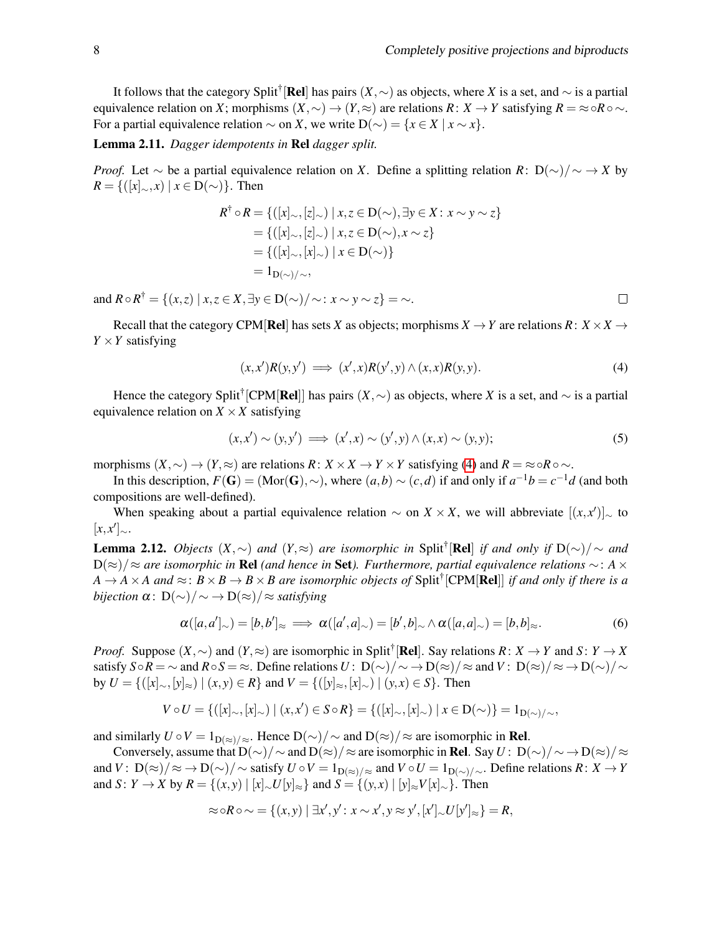<span id="page-7-3"></span><span id="page-7-1"></span><span id="page-7-0"></span> $\Box$ 

It follows that the category Split† [Rel] has pairs (*X*,∼) as objects, where *X* is a set, and ∼ is a partial equivalence relation on *X*; morphisms  $(X, \sim) \to (Y, \approx)$  are relations  $R: X \to Y$  satisfying  $R = \approx \circ R \circ \sim$ . For a partial equivalence relation  $\sim$  on *X*, we write  $D(\sim) = \{x \in X \mid x \sim x\}.$ 

Lemma 2.11. *Dagger idempotents in* Rel *dagger split.*

*Proof.* Let  $\sim$  be a partial equivalence relation on *X*. Define a splitting relation *R*: D(∼)/∼ → *X* by *R* = {([*x*]∼, *x*) | *x* ∈ D(∼)}. Then

$$
R^{\dagger} \circ R = \{ ([x]_{\sim}, [z]_{\sim}) \mid x, z \in D(\sim), \exists y \in X : x \sim y \sim z \}
$$
  
= 
$$
\{ ([x]_{\sim}, [z]_{\sim}) \mid x, z \in D(\sim), x \sim z \}
$$
  
= 
$$
\{ ([x]_{\sim}, [x]_{\sim}) \mid x \in D(\sim) \}
$$
  
= 
$$
1_{D(\sim)/\sim},
$$

and  $R \circ R^{\dagger} = \{(x, z) \mid x, z \in X, \exists y \in D(\sim) / \sim : x \sim y \sim z\} = \sim$ .

Recall that the category CPM[Rel] has sets *X* as objects; morphisms  $X \to Y$  are relations  $R: X \times X \to Y$  $Y \times Y$  satisfying

$$
(x,x')R(y,y') \implies (x',x)R(y',y) \wedge (x,x)R(y,y). \tag{4}
$$

Hence the category Split† [CPM[Rel]] has pairs (*X*,∼) as objects, where *X* is a set, and ∼ is a partial equivalence relation on  $X \times X$  satisfying

$$
(x,x') \sim (y,y') \implies (x',x) \sim (y',y) \land (x,x) \sim (y,y); \tag{5}
$$

morphisms  $(X, \sim) \to (Y, \approx)$  are relations  $R: X \times X \to Y \times Y$  satisfying [\(4\)](#page-7-0) and  $R = \approx \circ R \circ \sim$ .

In this description,  $F(G) = (Mor(G), \sim)$ , where  $(a, b) \sim (c, d)$  if and only if  $a^{-1}b = c^{-1}d$  (and both compositions are well-defined).

When speaking about a partial equivalence relation  $\sim$  on *X* × *X*, we will abbreviate  $[(x, x')]_{\sim}$  to  $[x, x']$ ∼.

<span id="page-7-2"></span>Lemma 2.12. *Objects* (*X*,∼) *and* (*Y*,≈) *are isomorphic in* Split† [Rel] *if and only if* D(∼)/∼ *and* D(≈)/≈ *are isomorphic in* Rel *(and hence in* Set*). Furthermore, partial equivalence relations* ∼: *A*×  $A \to A \times A$  and  $\approx: B \times B \to B \times B$  are isomorphic objects of Split<sup>†</sup> [CPM[**Rel**]] *if and only if there is a bijection*  $\alpha$ : D(∼)/ ~ → D(≈)/ ≈ *satisfying* 

$$
\alpha([a,a']_{\sim}) = [b,b']_{\approx} \implies \alpha([a',a]_{\sim}) = [b',b]_{\sim} \wedge \alpha([a,a]_{\sim}) = [b,b]_{\approx}.
$$
 (6)

*Proof.* Suppose (*X*,∼) and (*Y*,≈) are isomorphic in Split† [Rel]. Say relations *R*: *X* → *Y* and *S*: *Y* → *X* satisfy  $S \circ R = \sim$  and  $R \circ S = \approx$ . Define relations  $U: D(\sim)/\sim \to D(\approx)/\approx$  and  $V: D(\approx)/\approx \to D(\sim)/\sim$ by  $U = \{([x]_{\sim}, [y]_{\approx}) | (x, y) \in R\}$  and  $V = \{([y]_{\approx}, [x]_{\sim}) | (y, x) \in S\}$ . Then

$$
V \circ U = \{ ([x]_{\sim}, [x]_{\sim}) \mid (x, x') \in S \circ R \} = \{ ([x]_{\sim}, [x]_{\sim}) \mid x \in D(\sim) \} = 1_{D(\sim)/\sim},
$$

and similarly  $U \circ V = 1_{D(\approx)/\approx}$ . Hence  $D(\sim)/\sim$  and  $D(\approx)/\approx$  are isomorphic in **Rel**.

Conversely, assume that D(∼)/∼ and D(≈)/≈ are isomorphic in **Rel**. Say  $U: D(\sim)/\sim \to D(\approx)/\approx$ and *V* :  $D(\approx)/\approx \rightarrow D(\sim)/\sim$  satisfy *U*  $\circ$  *V* =  $1_{D(\approx)/\approx}$  and *V*  $\circ$  *U* =  $1_{D(\sim)/\sim}$ . Define relations *R*: *X*  $\rightarrow$  *Y* and *S*: *Y* → *X* by  $R = \{(x, y) | [x]_{\sim} U[y]_{\approx}\}$  and  $S = \{(y, x) | [y]_{\approx} V[x]_{\sim}\}$ . Then

$$
\approx \circ R \circ \sim = \{ (x, y) \mid \exists x', y' : x \sim x', y \approx y', [x'] \sim U[y'] \approx \} = R,
$$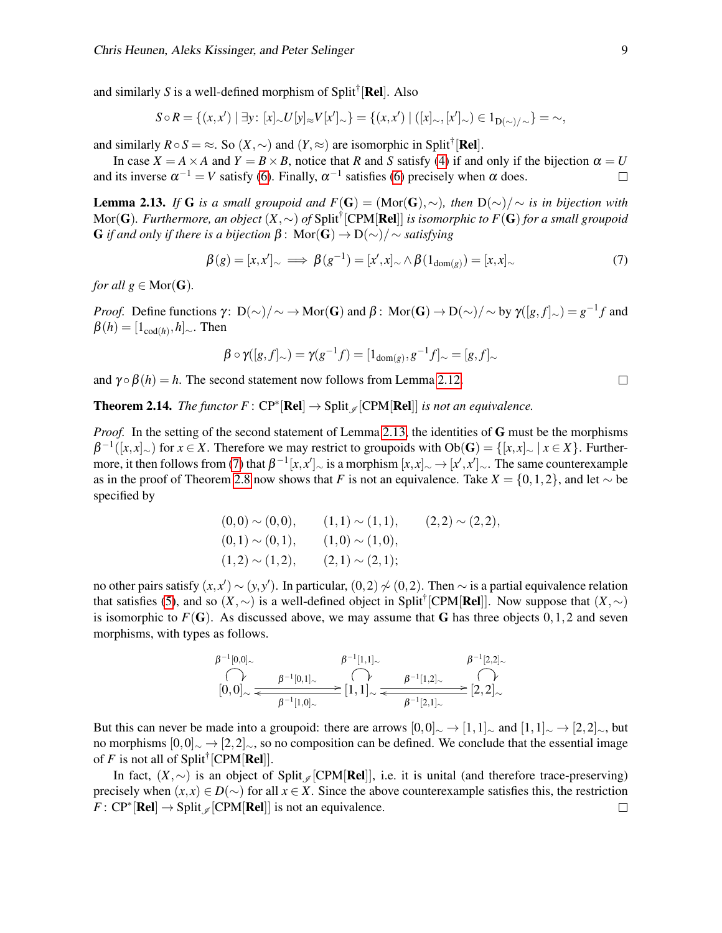and similarly *S* is a well-defined morphism of Split<sup>†</sup> [Rel]. Also

$$
S \circ R = \{(x, x') \mid \exists y: [x]_{\sim} U[y]_{\approx} V[x']_{\sim}\} = \{(x, x') \mid ([x]_{\sim}, [x']_{\sim}) \in 1_{D(\sim)/\sim}\} = \sim,
$$

and similarly  $R \circ S = \infty$ . So  $(X, \sim)$  and  $(Y, \approx)$  are isomorphic in Split<sup>†</sup> [Rel].

In case  $X = A \times A$  and  $Y = B \times B$ , notice that *R* and *S* satisfy [\(4\)](#page-7-0) if and only if the bijection  $\alpha = U$ and its inverse  $\alpha^{-1} = V$  satisfy [\(6\)](#page-7-1). Finally,  $\alpha^{-1}$  satisfies (6) precisely when  $\alpha$  does.  $\Box$ 

<span id="page-8-0"></span>**Lemma 2.13.** *If* G *is a small groupoid and*  $F(G) = (Mor(G), ∼)$ *, then*  $D(∼)/ ∼$  *is in bijection with* Mor(G)*. Furthermore, an object* (*X*,∼) *of* Split† [CPM[Rel]] *is isomorphic to F*(G) *for a small groupoid* G *if and only if there is a bijection*  $β$ : Mor(**G**)  $\rightarrow$  D(∼)/  $\sim$  *satisfying* 

$$
\beta(g) = [x, x']_{\sim} \implies \beta(g^{-1}) = [x', x]_{\sim} \land \beta(1_{\text{dom}(g)}) = [x, x]_{\sim} \tag{7}
$$

*for all*  $g \in Mor(G)$ *.* 

*Proof.* Define functions  $\gamma: D(\sim)/\sim \to \text{Mor}(\mathbf{G})$  and  $\beta: \text{Mor}(\mathbf{G}) \to D(\sim)/\sim$  by  $\gamma([g, f]_{\sim}) = g^{-1}f$  and  $\beta(h) = [1_{\text{cod}(h)}, h]_{\sim}$ . Then

$$
\beta \circ \gamma([g, f]_{\sim}) = \gamma(g^{-1}f) = [1_{\text{dom}(g)}, g^{-1}f]_{\sim} = [g, f]_{\sim}
$$

and  $\gamma \circ \beta(h) = h$ . The second statement now follows from Lemma [2.12.](#page-7-2)

**Theorem 2.14.** *The functor*  $F: CP^*[\textbf{Rel}] \rightarrow Split_{\mathscr{I}}[CPM[\textbf{Rel}]]$  *is not an equivalence.* 

*Proof.* In the setting of the second statement of Lemma [2.13,](#page-8-0) the identities of **G** must be the morphisms β −1 ([*x*, *x*]∼) for *x* ∈ *X*. Therefore we may restrict to groupoids with Ob(G) = {[*x*, *x*]<sup>∼</sup> | *x* ∈ *X*}. Further-more, it then follows from [\(7\)](#page-8-1) that  $\beta^{-1}[x, x']_{\sim}$  is a morphism  $[x, x]_{\sim} \to [x', x']_{\sim}$ . The same counterexample as in the proof of Theorem [2.8](#page-6-0) now shows that *F* is not an equivalence. Take  $X = \{0, 1, 2\}$ , and let ∼ be specified by

$$
(0,0) \sim (0,0), \qquad (1,1) \sim (1,1), \qquad (2,2) \sim (2,2), (0,1) \sim (0,1), \qquad (1,0) \sim (1,0), (1,2) \sim (1,2), \qquad (2,1) \sim (2,1);
$$

no other pairs satisfy  $(x, x') \sim (y, y')$ . In particular,  $(0, 2) \nsim (0, 2)$ . Then  $\sim$  is a partial equivalence relation that satisfies [\(5\)](#page-7-3), and so (*X*,∼) is a well-defined object in Split† [CPM[Rel]]. Now suppose that (*X*,∼) is isomorphic to  $F(G)$ . As discussed above, we may assume that G has three objects 0, 1, 2 and seven morphisms, with types as follows.

$$
\begin{array}{ccc}\n\beta^{-1}[0,0]_{\sim} & \beta^{-1}[1,1]_{\sim} & \beta^{-1}[2,2]_{\sim} \\
\textcircled{1} & \beta^{-1}[0,1]_{\sim} & \textcircled{1} & \textcircled{1} \\
[0,0]_{\sim} & \xrightarrow{\beta^{-1}[1,0]_{\sim}} & [1,1]_{\sim} & \xrightarrow{\beta^{-1}[2,1]_{\sim}} & [2,2]_{\sim}\n\end{array}
$$

But this can never be made into a groupoid: there are arrows  $[0,0] \rightarrow [1,1] \rightarrow$  and  $[1,1] \rightarrow [2,2] \rightarrow$ , but no morphisms  $[0,0]_{\sim}$  →  $[2,2]_{\sim}$ , so no composition can be defined. We conclude that the essential image of *F* is not all of  $Split^{\dagger}$  [CPM [**Rel**]].

In fact,  $(X, \sim)$  is an object of Split <sub>«</sub>[CPM[Rel]], i.e. it is unital (and therefore trace-preserving) precisely when  $(x, x) \in D(\sim)$  for all  $x \in X$ . Since the above counterexample satisfies this, the restriction  $F: CP^*[\textbf{Rel}] \to \text{Split}_{\mathscr{I}}[\textbf{CPM}[\textbf{Rel}]]$  is not an equivalence.  $\Box$ 

<span id="page-8-1"></span>
$$
\Box
$$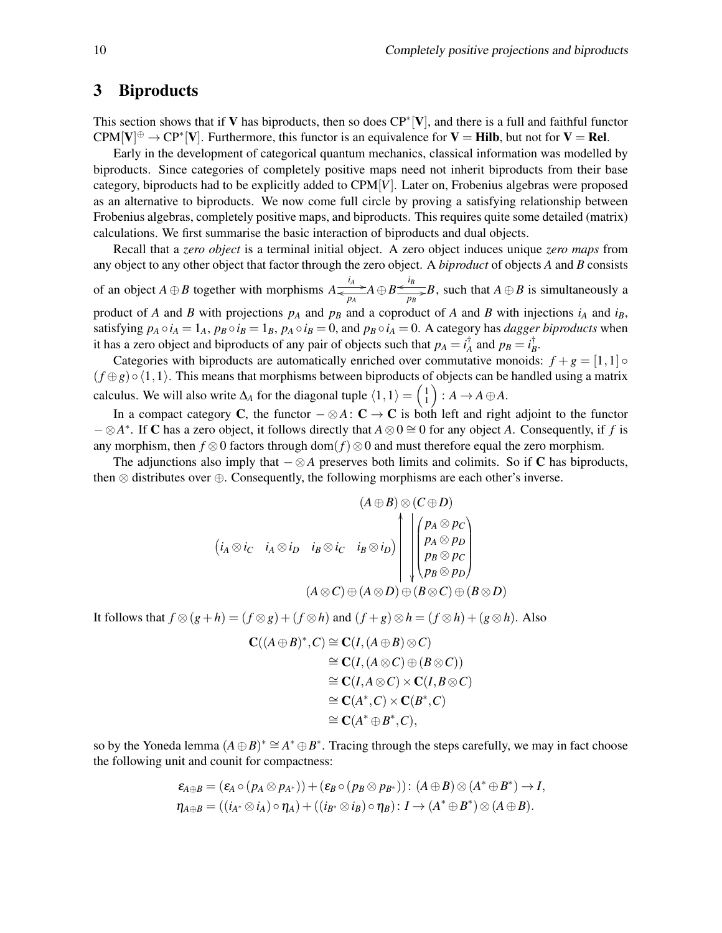## 3 Biproducts

This section shows that if V has biproducts, then so does  $\text{CP}^*[V]$ , and there is a full and faithful functor  $CPM[V]^{\oplus} \to CP^*[V]$ . Furthermore, this functor is an equivalence for  $V = Hilb$ , but not for  $V = Rel$ .

Early in the development of categorical quantum mechanics, classical information was modelled by biproducts. Since categories of completely positive maps need not inherit biproducts from their base category, biproducts had to be explicitly added to CPM[*V*]. Later on, Frobenius algebras were proposed as an alternative to biproducts. We now come full circle by proving a satisfying relationship between Frobenius algebras, completely positive maps, and biproducts. This requires quite some detailed (matrix) calculations. We first summarise the basic interaction of biproducts and dual objects.

Recall that a *zero object* is a terminal initial object. A zero object induces unique *zero maps* from any object to any other object that factor through the zero object. A *biproduct* of objects *A* and *B* consists of an object  $A \oplus B$  together with morphisms  $A \leq \frac{i_A}{p_A} A \oplus B \leq \frac{i_B}{p_B} B$ , such that  $A \oplus B$  is simultaneously a product of *A* and *B* with projections  $p_A$  and  $p_B$  and a coproduct of *A* and *B* with injections  $i_A$  and  $i_B$ , satisfying  $p_A \circ i_A = 1_A$ ,  $p_B \circ i_B = 1_B$ ,  $p_A \circ i_B = 0$ , and  $p_B \circ i_A = 0$ . A category has *dagger biproducts* when it has a zero object and biproducts of any pair of objects such that  $p_A = i_A^{\dagger}$  $\int_A^{\dagger}$  and  $p_B = i_B^{\dagger}$ .

Categories with biproducts are automatically enriched over commutative monoids:  $f + g = [1,1] \circ$  $(f \oplus g) \circ (1,1)$ . This means that morphisms between biproducts of objects can be handled using a matrix calculus. We will also write  $\Delta_A$  for the diagonal tuple  $\langle 1, 1 \rangle = \begin{pmatrix} 1 \\ 1 \end{pmatrix}$  $\binom{1}{1}$ :  $A \rightarrow A \oplus A$ .

In a compact category C, the functor  $-\otimes A: C \to C$  is both left and right adjoint to the functor − ⊗*A*<sup>\*</sup>. If **C** has a zero object, it follows directly that  $A \otimes 0 \cong 0$  for any object *A*. Consequently, if *f* is any morphism, then  $f \otimes 0$  factors through dom( $f$ )  $\otimes 0$  and must therefore equal the zero morphism.

The adjunctions also imply that  $-\otimes A$  preserves both limits and colimits. So if C has biproducts, then  $\otimes$  distributes over  $\oplus$ . Consequently, the following morphisms are each other's inverse.

$$
(A \oplus B) \otimes (C \oplus D)
$$
  
\n
$$
(i_A \otimes i_C \quad i_A \otimes i_D \quad i_B \otimes i_C \quad i_B \otimes i_D)
$$
  
\n
$$
(A \otimes C) \oplus (A \otimes D) \oplus (B \otimes C) \oplus (B \otimes D)
$$
  
\n
$$
(A \otimes C) \oplus (A \otimes D) \oplus (B \otimes C) \oplus (B \otimes D)
$$

It follows that  $f \otimes (g+h) = (f \otimes g) + (f \otimes h)$  and  $(f+g) \otimes h = (f \otimes h) + (g \otimes h)$ . Also

$$
\mathbf{C}((A \oplus B)^*, C) \cong \mathbf{C}(I, (A \oplus B) \otimes C)
$$
  
\n
$$
\cong \mathbf{C}(I, (A \otimes C) \oplus (B \otimes C))
$$
  
\n
$$
\cong \mathbf{C}(I, A \otimes C) \times \mathbf{C}(I, B \otimes C)
$$
  
\n
$$
\cong \mathbf{C}(A^*, C) \times \mathbf{C}(B^*, C)
$$
  
\n
$$
\cong \mathbf{C}(A^* \oplus B^*, C),
$$

<span id="page-9-0"></span>so by the Yoneda lemma  $(A \oplus B)^* \cong A^* \oplus B^*$ . Tracing through the steps carefully, we may in fact choose the following unit and counit for compactness:

$$
\varepsilon_{A\oplus B} = (\varepsilon_A \circ (p_A \otimes p_{A^*})) + (\varepsilon_B \circ (p_B \otimes p_{B^*})) : (A \oplus B) \otimes (A^* \oplus B^*) \to I,
$$
  

$$
\eta_{A\oplus B} = ((i_{A^*} \otimes i_A) \circ \eta_A) + ((i_{B^*} \otimes i_B) \circ \eta_B) : I \to (A^* \oplus B^*) \otimes (A \oplus B).
$$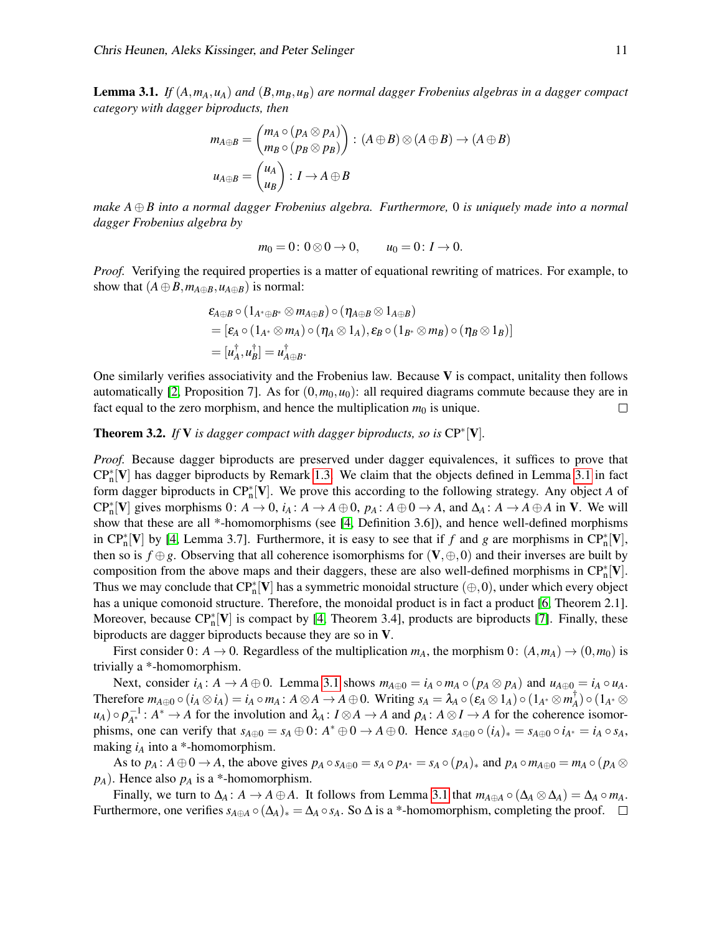**Lemma 3.1.** *If*  $(A, m_A, u_A)$  *and*  $(B, m_B, u_B)$  *are normal dagger Frobenius algebras in a dagger compact category with dagger biproducts, then*

$$
m_{A \oplus B} = {m_A \circ (p_A \otimes p_A) \choose m_B \circ (p_B \otimes p_B)} : (A \oplus B) \otimes (A \oplus B) \rightarrow (A \oplus B)
$$

$$
u_{A \oplus B} = {u_A \choose u_B} : I \rightarrow A \oplus B
$$

*make A* ⊕ *B into a normal dagger Frobenius algebra. Furthermore,* 0 *is uniquely made into a normal dagger Frobenius algebra by*

$$
m_0 = 0
$$
:  $0 \otimes 0 \to 0$ ,  $u_0 = 0$ :  $I \to 0$ .

*Proof.* Verifying the required properties is a matter of equational rewriting of matrices. For example, to show that  $(A \oplus B, m_{A \oplus B}, u_{A \oplus B})$  is normal:

$$
\varepsilon_{A\oplus B}\circ (1_{A^*\oplus B^*}\otimes m_{A\oplus B})\circ (\eta_{A\oplus B}\otimes 1_{A\oplus B})
$$
  
= 
$$
[\varepsilon_A\circ (1_{A^*}\otimes m_A)\circ (\eta_A\otimes 1_A), \varepsilon_B\circ (1_{B^*}\otimes m_B)\circ (\eta_B\otimes 1_B)]
$$
  
= 
$$
[u_A^{\dagger}, u_B^{\dagger}] = u_{A\oplus B}^{\dagger}.
$$

One similarly verifies associativity and the Frobenius law. Because  $V$  is compact, unitality then follows automatically [\[2,](#page-11-6) Proposition 7]. As for  $(0,m_0,u_0)$ : all required diagrams commute because they are in fact equal to the zero morphism, and hence the multiplication  $m_0$  is unique.  $\Box$ 

<span id="page-10-0"></span>**Theorem 3.2.** If  $V$  is dagger compact with dagger biproducts, so is  $\text{CP}^*[V]$ .

*Proof.* Because dagger biproducts are preserved under dagger equivalences, it suffices to prove that CP<sup>\*</sup><sub>n</sub>[V] has dagger biproducts by Remark [1.3.](#page-2-1) We claim that the objects defined in Lemma [3.1](#page-9-0) in fact form dagger biproducts in  $\mathbb{CP}^*_n[V]$ . We prove this according to the following strategy. Any object *A* of  $\text{CP}^*_{n}[\mathbf{V}]$  gives morphisms 0:  $A \to 0$ ,  $i_A : A \to A \oplus 0$ ,  $p_A : A \oplus 0 \to A$ , and  $\Delta_A : A \to A \oplus A$  in **V**. We will show that these are all \*-homomorphisms (see [\[4,](#page-11-0) Definition 3.6]), and hence well-defined morphisms in  $\mathbb{CP}^*_{n}[V]$  by [\[4,](#page-11-0) Lemma 3.7]. Furthermore, it is easy to see that if *f* and *g* are morphisms in  $\mathbb{CP}^*_{n}[V]$ , then so is  $f \oplus g$ . Observing that all coherence isomorphisms for  $(V, \oplus, 0)$  and their inverses are built by composition from the above maps and their daggers, these are also well-defined morphisms in  $\mathbb{CP}^*_n[V]$ . Thus we may conclude that  $\mathbf{CP}^*_n[\mathbf{V}]$  has a symmetric monoidal structure  $(\oplus,0)$ , under which every object has a unique comonoid structure. Therefore, the monoidal product is in fact a product [\[6,](#page-11-7) Theorem 2.1]. Moreover, because  $\mathbb{CP}^*_n[V]$  is compact by [\[4,](#page-11-0) Theorem 3.4], products are biproducts [\[7\]](#page-11-8). Finally, these biproducts are dagger biproducts because they are so in V.

First consider 0:  $A \rightarrow 0$ . Regardless of the multiplication  $m_A$ , the morphism 0:  $(A, m_A) \rightarrow (0, m_0)$  is trivially a \*-homomorphism.

Next, consider  $i_A: A \to A \oplus 0$ . Lemma [3.1](#page-9-0) shows  $m_{A\oplus 0} = i_A \circ m_A \circ (p_A \otimes p_A)$  and  $u_{A\oplus 0} = i_A \circ u_A$ . Therefore  $m_{A\oplus 0}\circ (i_A\otimes i_A)=i_A\circ m_A\colon A\otimes A\to A\oplus 0$ . Writing  $s_A=\lambda_A\circ (\varepsilon_A\otimes 1_A)\circ (1_{A^*}\otimes m_A^{\dagger}$  $\binom{\intercal}{A}$ )  $\circ$   $(1_{A^*}\otimes$  $u_A) \circ \rho_{A^*}^{-1}: A^* \to A$  for the involution and  $\lambda_A: I \otimes A \to A$  and  $\rho_A: A \otimes I \to A$  for the coherence isomorphisms, one can verify that  $s_{A\oplus 0} = s_A \oplus 0$ :  $A^* \oplus 0 \to A \oplus 0$ . Hence  $s_{A\oplus 0} \circ (i_A)_* = s_{A\oplus 0} \circ i_{A^*} = i_A \circ s_A$ , making  $i_A$  into a \*-homomorphism.

As to  $p_A$ :  $A \oplus 0 \to A$ , the above gives  $p_A \circ s_{A \oplus 0} = s_A \circ p_{A^*} = s_A \circ (p_A)_*$  and  $p_A \circ m_{A \oplus 0} = m_A \circ (p_A \otimes p_A)$  $p_A$ ). Hence also  $p_A$  is a \*-homomorphism.

Finally, we turn to  $\Delta_A$ :  $A \to A \oplus A$ . It follows from Lemma [3.1](#page-9-0) that  $m_{A \oplus A} \circ (\Delta_A \otimes \Delta_A) = \Delta_A \circ m_A$ . Furthermore, one verifies  $s_{A\oplus A} \circ (\Delta_A)_* = \Delta_A \circ s_A$ . So  $\Delta$  is a \*-homomorphism, completing the proof.  $\square$